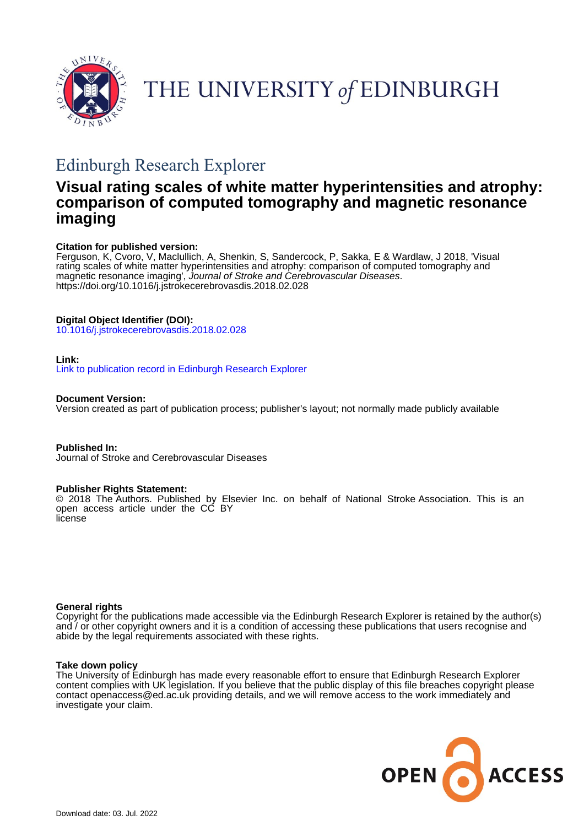

THE UNIVERSITY of EDINBURGH

# Edinburgh Research Explorer

## **Visual rating scales of white matter hyperintensities and atrophy: comparison of computed tomography and magnetic resonance imaging**

## **Citation for published version:**

Ferguson, K, Cvoro, V, Maclullich, A, Shenkin, S, Sandercock, P, Sakka, E & Wardlaw, J 2018, 'Visual rating scales of white matter hyperintensities and atrophy: comparison of computed tomography and magnetic resonance imaging', Journal of Stroke and Cerebrovascular Diseases. <https://doi.org/10.1016/j.jstrokecerebrovasdis.2018.02.028>

## **Digital Object Identifier (DOI):**

[10.1016/j.jstrokecerebrovasdis.2018.02.028](https://doi.org/10.1016/j.jstrokecerebrovasdis.2018.02.028)

## **Link:**

[Link to publication record in Edinburgh Research Explorer](https://www.research.ed.ac.uk/en/publications/325f45da-15ac-4583-a5fd-6de650d467af)

**Document Version:**

Version created as part of publication process; publisher's layout; not normally made publicly available

**Published In:** Journal of Stroke and Cerebrovascular Diseases

## **Publisher Rights Statement:**

© 2018 The Authors. Published by Elsevier Inc. on behalf of National Stroke Association. This is an open access article under the CC BY license

## **General rights**

Copyright for the publications made accessible via the Edinburgh Research Explorer is retained by the author(s) and / or other copyright owners and it is a condition of accessing these publications that users recognise and abide by the legal requirements associated with these rights.

## **Take down policy**

The University of Edinburgh has made every reasonable effort to ensure that Edinburgh Research Explorer content complies with UK legislation. If you believe that the public display of this file breaches copyright please contact openaccess@ed.ac.uk providing details, and we will remove access to the work immediately and investigate your claim.

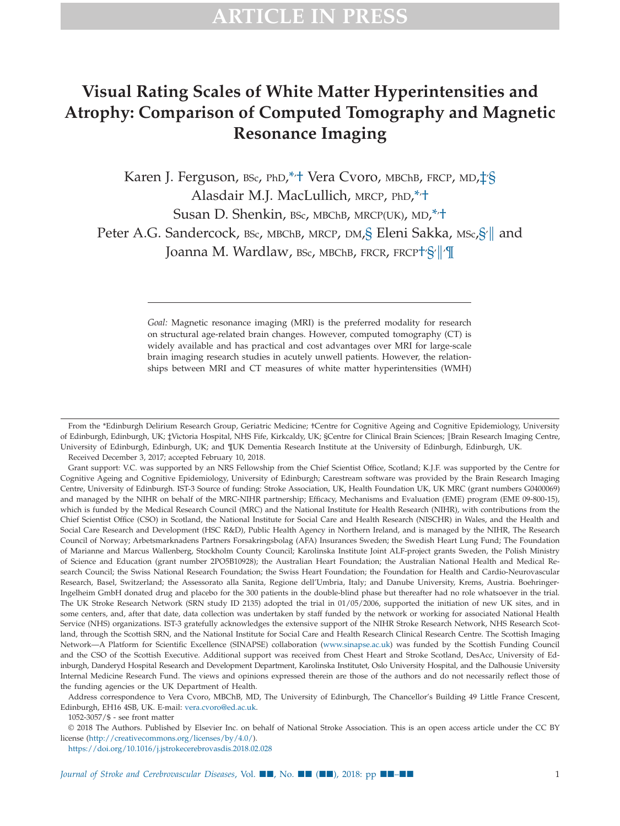## **Visual Rating Scales of White Matter Hyperintensities and Atrophy: Comparison of Computed Tomography and Magnetic Resonance Imaging**

Karen J. Ferguson, <sup>BSc, PhD,\*</sup><sup>+</sup> Vera Cvoro, MBChB, FRCP, MD,‡'[§](#page-1-3) Alasdair M.J. MacLullich, MRCP, PhD,\*/+ Susan D. Shenkin, bsc, mbchb, mrcp(uk), md,\*<sup>,+</sup> Peter A.G. Sandercock,  $_{\rm BSc}$ , мвсһв, мкср, dм, $\S$  Eleni Sakka, мѕ $_c \S$  $\parallel$  and Joanna M. Wardlaw, bsc, мвсьв, fr.cr, fr.cr $\dagger$ §/ $\parallel$ ʻ $\P$ 

> <span id="page-1-5"></span><span id="page-1-4"></span><span id="page-1-3"></span><span id="page-1-1"></span>*Goal:* Magnetic resonance imaging (MRI) is the preferred modality for research on structural age-related brain changes. However, computed tomography (CT) is widely available and has practical and cost advantages over MRI for large-scale brain imaging research studies in acutely unwell patients. However, the relationships between MRI and CT measures of white matter hyperintensities (WMH)

Grant support: V.C. was supported by an NRS Fellowship from the Chief Scientist Office, Scotland; K.J.F. was supported by the Centre for Cognitive Ageing and Cognitive Epidemiology, University of Edinburgh; Carestream software was provided by the Brain Research Imaging Centre, University of Edinburgh. IST-3 Source of funding: Stroke Association, UK, Health Foundation UK, UK MRC (grant numbers G0400069) and managed by the NIHR on behalf of the MRC-NIHR partnership; Efficacy, Mechanisms and Evaluation (EME) program (EME 09-800-15), which is funded by the Medical Research Council (MRC) and the National Institute for Health Research (NIHR), with contributions from the Chief Scientist Office (CSO) in Scotland, the National Institute for Social Care and Health Research (NISCHR) in Wales, and the Health and Social Care Research and Development (HSC R&D), Public Health Agency in Northern Ireland, and is managed by the NIHR, The Research Council of Norway; Arbetsmarknadens Partners Forsakringsbolag (AFA) Insurances Sweden; the Swedish Heart Lung Fund; The Foundation of Marianne and Marcus Wallenberg, Stockholm County Council; Karolinska Institute Joint ALF-project grants Sweden, the Polish Ministry of Science and Education (grant number 2PO5B10928); the Australian Heart Foundation; the Australian National Health and Medical Research Council; the Swiss National Research Foundation; the Swiss Heart Foundation; the Foundation for Health and Cardio-Neurovascular Research, Basel, Switzerland; the Assessorato alla Sanita, Regione dell'Umbria, Italy; and Danube University, Krems, Austria. Boehringer-Ingelheim GmbH donated drug and placebo for the 300 patients in the double-blind phase but thereafter had no role whatsoever in the trial. The UK Stroke Research Network (SRN study ID 2135) adopted the trial in 01/05/2006, supported the initiation of new UK sites, and in some centers, and, after that date, data collection was undertaken by staff funded by the network or working for associated National Health Service (NHS) organizations. IST-3 gratefully acknowledges the extensive support of the NIHR Stroke Research Network, NHS Research Scotland, through the Scottish SRN, and the National Institute for Social Care and Health Research Clinical Research Centre. The Scottish Imaging Network—A Platform for Scientific Excellence (SINAPSE) collaboration [\(www.sinapse.ac.uk\)](http://www.sinapse.ac.uk) was funded by the Scottish Funding Council and the CSO of the Scottish Executive. Additional support was received from Chest Heart and Stroke Scotland, DesAcc, University of Edinburgh, Danderyd Hospital Research and Development Department, Karolinska Institutet, Oslo University Hospital, and the Dalhousie University Internal Medicine Research Fund. The views and opinions expressed therein are those of the authors and do not necessarily reflect those of the funding agencies or the UK Department of Health.

Address correspondence to Vera Cvoro, MBChB, MD, The University of Edinburgh, The Chancellor's Building 49 Little France Crescent, Edinburgh, EH16 4SB, UK. E-mail: [vera.cvoro@ed.ac.uk.](mailto:vera.cvoro@ed.ac.uk)

1052-3057/\$ - see front matter

© 2018 The Authors. Published by Elsevier Inc. on behalf of National Stroke Association. This is an open access article under the CC BY license (http://creativecommons.org/licenses/by/4.0/).

https://doi.org/10.1016/j.jstrokecerebrovasdis.2018.02.028

<span id="page-1-2"></span><span id="page-1-0"></span>From the \*Edinburgh Delirium Research Group, Geriatric Medicine; †Centre for Cognitive Ageing and Cognitive Epidemiology, University of Edinburgh, Edinburgh, UK; ‡Victoria Hospital, NHS Fife, Kirkcaldy, UK; §Centre for Clinical Brain Sciences; ‖Brain Research Imaging Centre, University of Edinburgh, Edinburgh, UK; and ¶UK Dementia Research Institute at the University of Edinburgh, Edinburgh, UK. Received December 3, 2017; accepted February 10, 2018.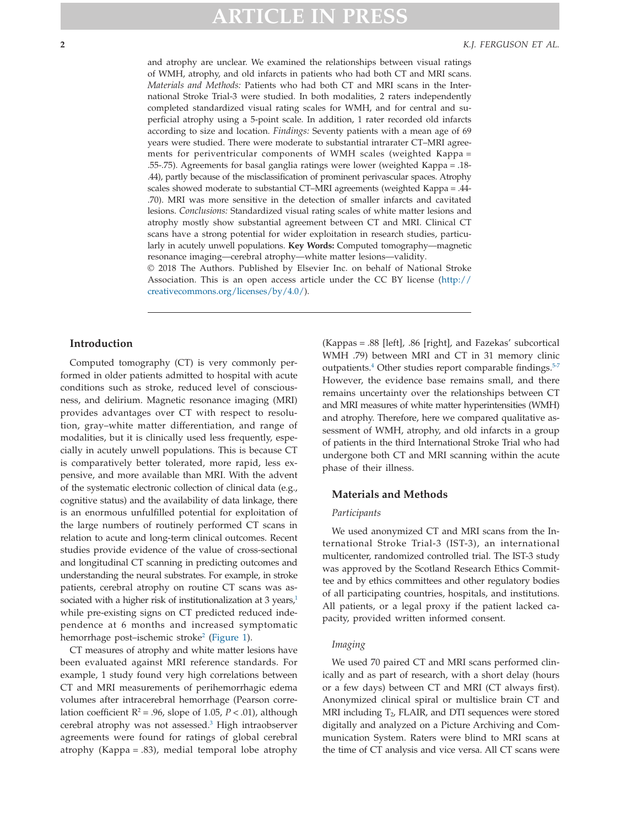and atrophy are unclear. We examined the relationships between visual ratings of WMH, atrophy, and old infarcts in patients who had both CT and MRI scans. *Materials and Methods:* Patients who had both CT and MRI scans in the International Stroke Trial-3 were studied. In both modalities, 2 raters independently completed standardized visual rating scales for WMH, and for central and superficial atrophy using a 5-point scale. In addition, 1 rater recorded old infarcts according to size and location. *Findings:* Seventy patients with a mean age of 69 years were studied. There were moderate to substantial intrarater CT–MRI agreements for periventricular components of WMH scales (weighted Κappa = .55-.75). Agreements for basal ganglia ratings were lower (weighted Κappa = .18- .44), partly because of the misclassification of prominent perivascular spaces. Atrophy scales showed moderate to substantial CT–MRI agreements (weighted Κappa = .44- .70). MRI was more sensitive in the detection of smaller infarcts and cavitated lesions. *Conclusions:* Standardized visual rating scales of white matter lesions and atrophy mostly show substantial agreement between CT and MRI. Clinical CT scans have a strong potential for wider exploitation in research studies, particularly in acutely unwell populations. **Key Words:** Computed tomography—magnetic resonance imaging—cerebral atrophy—white matter lesions—validity.

© 2018 The Authors. Published by Elsevier Inc. on behalf of National Stroke Association. This is an open access article under the CC BY license (http:// creativecommons.org/licenses/by/4.0/).

#### **Introduction**

Computed tomography (CT) is very commonly performed in older patients admitted to hospital with acute conditions such as stroke, reduced level of consciousness, and delirium. Magnetic resonance imaging (MRI) provides advantages over CT with respect to resolution, gray–white matter differentiation, and range of modalities, but it is clinically used less frequently, especially in acutely unwell populations. This is because CT is comparatively better tolerated, more rapid, less expensive, and more available than MRI. With the advent of the systematic electronic collection of clinical data (e.g., cognitive status) and the availability of data linkage, there is an enormous unfulfilled potential for exploitation of the large numbers of routinely performed CT scans in relation to acute and long-term clinical outcomes. Recent studies provide evidence of the value of cross-sectional and longitudinal CT scanning in predicting outcomes and understanding the neural substrates. For example, in stroke patients, cerebral atrophy on routine CT scans was associated with a higher risk of institutionalization at 3 years, $1/2$ while pre-existing signs on CT predicted reduced independence at 6 months and increased symptomatic hemorrhage post–ischemic stroke<sup>2</sup> [\(Figure 1\)](#page-3-0).

CT measures of atrophy and white matter lesions have been evaluated against MRI reference standards. For example, 1 study found very high correlations between CT and MRI measurements of perihemorrhagic edema volumes after intracerebral hemorrhage (Pearson correlation coefficient  $R^2 = .96$ , slope of 1.05,  $P < .01$ ), although cerebral atrophy was not assessed[.3](#page-6-2) High intraobserver agreements were found for ratings of global cerebral atrophy (Kappa = .83), medial temporal lobe atrophy

(Kappas = .88 [left], .86 [right], and Fazekas' subcortical WMH .79) between MRI and CT in 31 memory clinic outpatients.<sup>4</sup> Other studies report comparable findings.<sup>5-7</sup> However, the evidence base remains small, and there remains uncertainty over the relationships between CT and MRI measures of white matter hyperintensities (WMH) and atrophy. Therefore, here we compared qualitative assessment of WMH, atrophy, and old infarcts in a group of patients in the third International Stroke Trial who had undergone both CT and MRI scanning within the acute phase of their illness.

#### **Materials and Methods**

#### *Participants*

We used anonymized CT and MRI scans from the International Stroke Trial-3 (IST-3), an international multicenter, randomized controlled trial. The IST-3 study was approved by the Scotland Research Ethics Committee and by ethics committees and other regulatory bodies of all participating countries, hospitals, and institutions. All patients, or a legal proxy if the patient lacked capacity, provided written informed consent.

#### *Imaging*

We used 70 paired CT and MRI scans performed clinically and as part of research, with a short delay (hours or a few days) between CT and MRI (CT always first). Anonymized clinical spiral or multislice brain CT and MRI including  $T_2$ , FLAIR, and DTI sequences were stored digitally and analyzed on a Picture Archiving and Communication System. Raters were blind to MRI scans at the time of CT analysis and vice versa. All CT scans were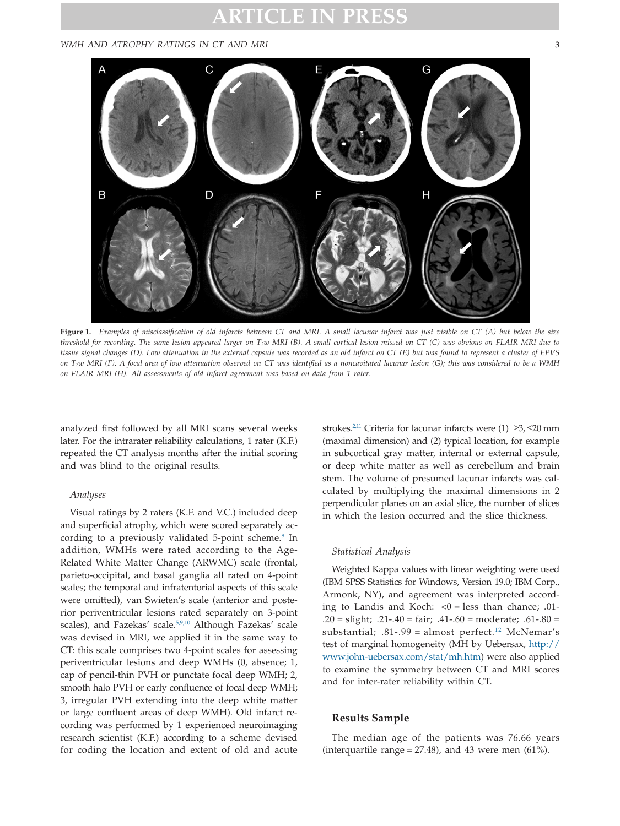#### <span id="page-3-0"></span>*WMH AND ATROPHY RATINGS IN CT AND MRI* **3**



**Figure 1.** *Examples of misclassification of old infarcts between CT and MRI. A small lacunar infarct was just visible on CT (A) but below the size threshold for recording. The same lesion appeared larger on T2w MRI (B). A small cortical lesion missed on CT (C) was obvious on FLAIR MRI due to tissue signal changes (D). Low attenuation in the external capsule was recorded as an old infarct on CT (E) but was found to represent a cluster of EPVS on T2w MRI (F). A focal area of low attenuation observed on CT was identified as a noncavitated lacunar lesion (G); this was considered to be a WMH on FLAIR MRI (H). All assessments of old infarct agreement was based on data from 1 rater.*

analyzed first followed by all MRI scans several weeks later. For the intrarater reliability calculations, 1 rater (K.F.) repeated the CT analysis months after the initial scoring and was blind to the original results.

#### *Analyses*

Visual ratings by 2 raters (K.F. and V.C.) included deep and superficial atrophy, which were scored separately according to a previously validated 5-point scheme.<sup>8</sup> In addition, WMHs were rated according to the Age-Related White Matter Change (ARWMC) scale (frontal, parieto-occipital, and basal ganglia all rated on 4-point scales; the temporal and infratentorial aspects of this scale were omitted), van Swieten's scale (anterior and posterior periventricular lesions rated separately on 3-point scales), and Fazekas' scale.<sup>5,9,10</sup> Although Fazekas' scale was devised in MRI, we applied it in the same way to CT: this scale comprises two 4-point scales for assessing periventricular lesions and deep WMHs (0, absence; 1, cap of pencil-thin PVH or punctate focal deep WMH; 2, smooth halo PVH or early confluence of focal deep WMH; 3, irregular PVH extending into the deep white matter or large confluent areas of deep WMH). Old infarct recording was performed by 1 experienced neuroimaging research scientist (K.F.) according to a scheme devised for coding the location and extent of old and acute strokes[.2,11](#page-6-1) Criteria for lacunar infarcts were (1) ≥3, ≤20 mm (maximal dimension) and (2) typical location, for example in subcortical gray matter, internal or external capsule, or deep white matter as well as cerebellum and brain stem. The volume of presumed lacunar infarcts was calculated by multiplying the maximal dimensions in 2 perpendicular planes on an axial slice, the number of slices in which the lesion occurred and the slice thickness.

#### *Statistical Analysis*

Weighted Kappa values with linear weighting were used (IBM SPSS Statistics for Windows, Version 19.0; IBM Corp., Armonk, NY), and agreement was interpreted according to Landis and Koch:  $<0$  = less than chance; .01-.20 = slight;  $.21 - .40 = \text{fair}$ ;  $.41 - .60 = \text{moderate}$ ;  $.61 - .80 =$ substantial;  $.81-.99 =$  almost perfect.<sup>12</sup> McNemar's test of marginal homogeneity (MH by Uebersax, [http://](http://www.john-uebersax.com/stat/mh.htm) [www.john-uebersax.com/stat/mh.htm\)](http://www.john-uebersax.com/stat/mh.htm) were also applied to examine the symmetry between CT and MRI scores and for inter-rater reliability within CT.

#### **Results Sample**

The median age of the patients was 76.66 years (interquartile range =  $27.48$ ), and 43 were men (61%).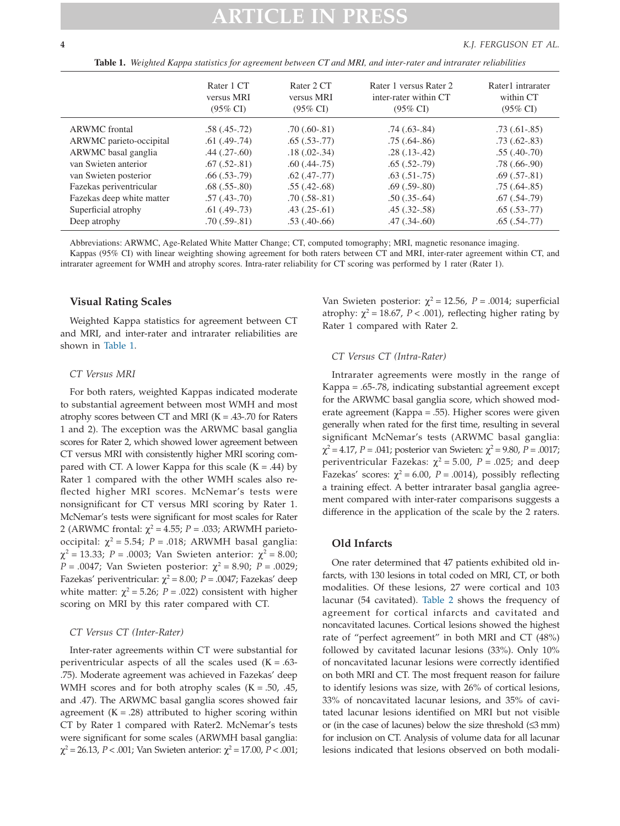**Table 1.** *Weighted Kappa statistics for agreement between CT and MRI, and inter-rater and intrarater reliabilities*

|                           | Rater 1 CT<br>versus MRI<br>$(95\% \text{ CI})$ | Rater 2 CT<br>versus MRI<br>$(95\% \text{ CI})$ | Rater 1 versus Rater 2<br>inter-rater within CT<br>$(95\% \text{ CI})$ | Rater1 intrarater<br>within CT<br>$(95\% \text{ CI})$ |
|---------------------------|-------------------------------------------------|-------------------------------------------------|------------------------------------------------------------------------|-------------------------------------------------------|
| <b>ARWMC</b> frontal      | $.58(.45-.72)$                                  | $.70(.60-.81)$                                  | $.74(.63-.84)$                                                         | $.73(0.61-0.85)$                                      |
| ARWMC parieto-occipital   | $.61(.49-.74)$                                  | $.65(.53-.77)$                                  | $.75(.64-.86)$                                                         | $.73(.62-.83)$                                        |
| ARWMC basal ganglia       | $.44$ $(.27-.60)$                               | $.18(.02-.34)$                                  | $.28(.13-.42)$                                                         | $.55(.40-.70)$                                        |
| van Swieten anterior      | $.67(.52-.81)$                                  | $.60$ $(.44-.75)$                               | $.65(.52-.79)$                                                         | $.78(.66-.90)$                                        |
| van Swieten posterior     | $.66$ $(.53-.79)$                               | $.62$ $(.47-.77)$                               | $.63(.51-.75)$                                                         | $.69(.57-.81)$                                        |
| Fazekas periventricular   | $.68(.55-.80)$                                  | $.55(.42-.68)$                                  | $.69(.59-.80)$                                                         | $.75(.64-.85)$                                        |
| Fazekas deep white matter | $.57(.43-.70)$                                  | $.70(.58-.81)$                                  | $.50(.35-.64)$                                                         | $.67$ $(.54-.79)$                                     |
| Superficial atrophy       | $.61$ $(.49-.73)$                               | $.43$ $(.25-.61)$                               | $.45(.32-.58)$                                                         | $.65(.53-.77)$                                        |
| Deep atrophy              | $.70(.59-.81)$                                  | $.53(.40-.66)$                                  | $.47$ $(.34-.60)$                                                      | $.65(.54-.77)$                                        |

Abbreviations: ARWMC, Age-Related White Matter Change; CT, computed tomography; MRI, magnetic resonance imaging. Kappas (95% CI) with linear weighting showing agreement for both raters between CT and MRI, inter-rater agreement within CT, and intrarater agreement for WMH and atrophy scores. Intra-rater reliability for CT scoring was performed by 1 rater (Rater 1).

#### **Visual Rating Scales**

Weighted Kappa statistics for agreement between CT and MRI, and inter-rater and intrarater reliabilities are shown in Table 1.

#### *CT Versus MRI*

For both raters, weighted Kappas indicated moderate to substantial agreement between most WMH and most atrophy scores between CT and MRI ( $K = .43$ -.70 for Raters 1 and 2). The exception was the ARWMC basal ganglia scores for Rater 2, which showed lower agreement between CT versus MRI with consistently higher MRI scoring compared with CT. A lower Kappa for this scale  $(K = .44)$  by Rater 1 compared with the other WMH scales also reflected higher MRI scores. McNemar's tests were nonsignificant for CT versus MRI scoring by Rater 1. McNemar's tests were significant for most scales for Rater 2 (ARWMC frontal:  $\chi^2$  = 4.55; *P* = .033; ARWMH parietooccipital:  $χ² = 5.54$ ;  $P = .018$ ; ARWMH basal ganglia:  $\chi^2$  = 13.33; *P* = .0003; Van Swieten anterior:  $\chi^2$  = 8.00; *P* = .0047; Van Swieten posterior:  $\chi^2$  = 8.90; *P* = .0029; Fazekas' periventricular:  $χ² = 8.00; P = .0047; Fazekas' deep$ white matter:  $\chi^2$  = 5.26; *P* = .022) consistent with higher scoring on MRI by this rater compared with CT.

#### *CT Versus CT (Inter-Rater)*

Inter-rater agreements within CT were substantial for periventricular aspects of all the scales used  $(K = .63-$ .75). Moderate agreement was achieved in Fazekas' deep WMH scores and for both atrophy scales ( $K = .50, .45,$ and .47). The ARWMC basal ganglia scores showed fair agreement  $(K = .28)$  attributed to higher scoring within CT by Rater 1 compared with Rater2. McNemar's tests were significant for some scales (ARWMH basal ganglia:  $χ² = 26.13, P < .001$ ; Van Swieten anterior:  $χ² = 17.00, P < .001$ ; Van Swieten posterior:  $\chi^2$  = 12.56, *P* = .0014; superficial atrophy:  $\chi^2$  = 18.67, *P* < .001), reflecting higher rating by Rater 1 compared with Rater 2.

#### *CT Versus CT (Intra-Rater)*

Intrarater agreements were mostly in the range of Kappa = .65-.78, indicating substantial agreement except for the ARWMC basal ganglia score, which showed moderate agreement (Kappa = .55). Higher scores were given generally when rated for the first time, resulting in several significant McNemar's tests (ARWMC basal ganglia:  $χ² = 4.17$ , *P* = .041; posterior van Swieten:  $χ² = 9.80$ , *P* = .0017; periventricular Fazekas:  $\chi^2 = 5.00$ ,  $P = .025$ ; and deep Fazekas' scores:  $\chi^2$  = 6.00, *P* = .0014), possibly reflecting a training effect. A better intrarater basal ganglia agreement compared with inter-rater comparisons suggests a difference in the application of the scale by the 2 raters.

### **Old Infarcts**

One rater determined that 47 patients exhibited old infarcts, with 130 lesions in total coded on MRI, CT, or both modalities. Of these lesions, 27 were cortical and 103 lacunar (54 cavitated). [Table 2](#page-5-0) shows the frequency of agreement for cortical infarcts and cavitated and noncavitated lacunes. Cortical lesions showed the highest rate of "perfect agreement" in both MRI and CT (48%) followed by cavitated lacunar lesions (33%). Only 10% of noncavitated lacunar lesions were correctly identified on both MRI and CT. The most frequent reason for failure to identify lesions was size, with 26% of cortical lesions, 33% of noncavitated lacunar lesions, and 35% of cavitated lacunar lesions identified on MRI but not visible or (in the case of lacunes) below the size threshold  $(≤3$  mm) for inclusion on CT. Analysis of volume data for all lacunar lesions indicated that lesions observed on both modali-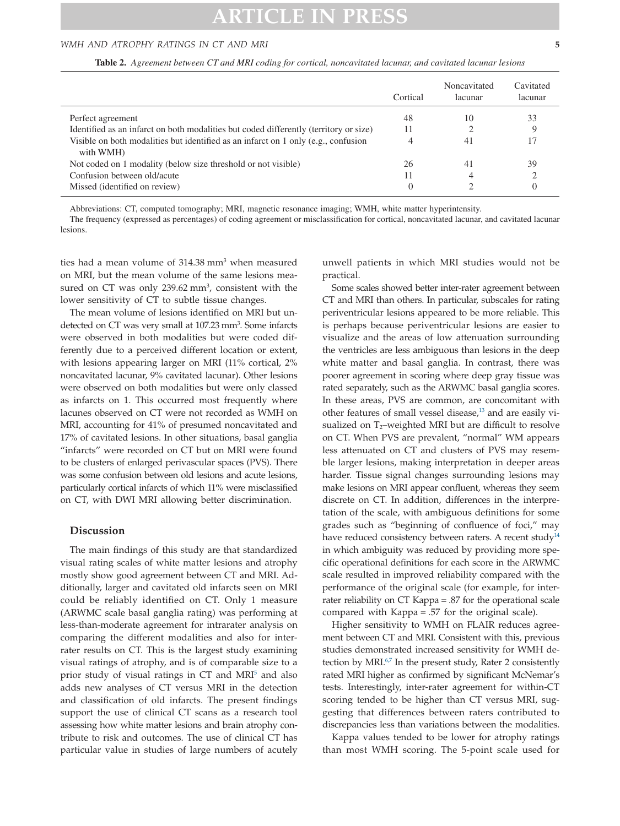#### <span id="page-5-0"></span>*WMH AND ATROPHY RATINGS IN CT AND MRI* **5**

**Table 2.** *Agreement between CT and MRI coding for cortical, noncavitated lacunar, and cavitated lacunar lesions*

|                                                                                                 | Cortical       | Noncavitated<br>lacunar | Cavitated<br>lacunar |
|-------------------------------------------------------------------------------------------------|----------------|-------------------------|----------------------|
| Perfect agreement                                                                               | 48             | 10                      | 33                   |
| Identified as an infarct on both modalities but coded differently (territory or size)           | 11             |                         |                      |
| Visible on both modalities but identified as an infarct on 1 only (e.g., confusion<br>with WMH) | 4              | 41                      |                      |
| Not coded on 1 modality (below size threshold or not visible)                                   | 26             | 41                      | 39                   |
| Confusion between old/acute                                                                     | 11             |                         |                      |
| Missed (identified on review)                                                                   | $\overline{0}$ |                         |                      |

Abbreviations: CT, computed tomography; MRI, magnetic resonance imaging; WMH, white matter hyperintensity.

The frequency (expressed as percentages) of coding agreement or misclassification for cortical, noncavitated lacunar, and cavitated lacunar lesions.

ties had a mean volume of  $314.38$  mm<sup>3</sup> when measured on MRI, but the mean volume of the same lesions measured on CT was only  $239.62$  mm<sup>3</sup>, consistent with the lower sensitivity of CT to subtle tissue changes.

The mean volume of lesions identified on MRI but undetected on CT was very small at 107.23 mm<sup>3</sup>. Some infarcts were observed in both modalities but were coded differently due to a perceived different location or extent, with lesions appearing larger on MRI (11% cortical, 2% noncavitated lacunar, 9% cavitated lacunar). Other lesions were observed on both modalities but were only classed as infarcts on 1. This occurred most frequently where lacunes observed on CT were not recorded as WMH on MRI, accounting for 41% of presumed noncavitated and 17% of cavitated lesions. In other situations, basal ganglia "infarcts" were recorded on CT but on MRI were found to be clusters of enlarged perivascular spaces (PVS). There was some confusion between old lesions and acute lesions, particularly cortical infarcts of which 11% were misclassified on CT, with DWI MRI allowing better discrimination.

#### **Discussion**

The main findings of this study are that standardized visual rating scales of white matter lesions and atrophy mostly show good agreement between CT and MRI. Additionally, larger and cavitated old infarcts seen on MRI could be reliably identified on CT. Only 1 measure (ARWMC scale basal ganglia rating) was performing at less-than-moderate agreement for intrarater analysis on comparing the different modalities and also for interrater results on CT. This is the largest study examining visual ratings of atrophy, and is of comparable size to a prior study of visual ratings in CT and MRI<sup>5</sup> and also adds new analyses of CT versus MRI in the detection and classification of old infarcts. The present findings support the use of clinical CT scans as a research tool assessing how white matter lesions and brain atrophy contribute to risk and outcomes. The use of clinical CT has particular value in studies of large numbers of acutely unwell patients in which MRI studies would not be practical.

Some scales showed better inter-rater agreement between CT and MRI than others. In particular, subscales for rating periventricular lesions appeared to be more reliable. This is perhaps because periventricular lesions are easier to visualize and the areas of low attenuation surrounding the ventricles are less ambiguous than lesions in the deep white matter and basal ganglia. In contrast, there was poorer agreement in scoring where deep gray tissue was rated separately, such as the ARWMC basal ganglia scores. In these areas, PVS are common, are concomitant with other features of small vessel disease,<sup>13</sup> and are easily visualized on  $T_2$ -weighted MRI but are difficult to resolve on CT. When PVS are prevalent, "normal" WM appears less attenuated on CT and clusters of PVS may resemble larger lesions, making interpretation in deeper areas harder. Tissue signal changes surrounding lesions may make lesions on MRI appear confluent, whereas they seem discrete on CT. In addition, differences in the interpretation of the scale, with ambiguous definitions for some grades such as "beginning of confluence of foci," may have reduced consistency between raters. A recent study<sup>14</sup> in which ambiguity was reduced by providing more specific operational definitions for each score in the ARWMC scale resulted in improved reliability compared with the performance of the original scale (for example, for interrater reliability on CT Kappa = .87 for the operational scale compared with Kappa = .57 for the original scale).

Higher sensitivity to WMH on FLAIR reduces agreement between CT and MRI. Consistent with this, previous studies demonstrated increased sensitivity for WMH detection by MRI $.67$  In the present study, Rater 2 consistently rated MRI higher as confirmed by significant McNemar's tests. Interestingly, inter-rater agreement for within-CT scoring tended to be higher than CT versus MRI, suggesting that differences between raters contributed to discrepancies less than variations between the modalities.

Kappa values tended to be lower for atrophy ratings than most WMH scoring. The 5-point scale used for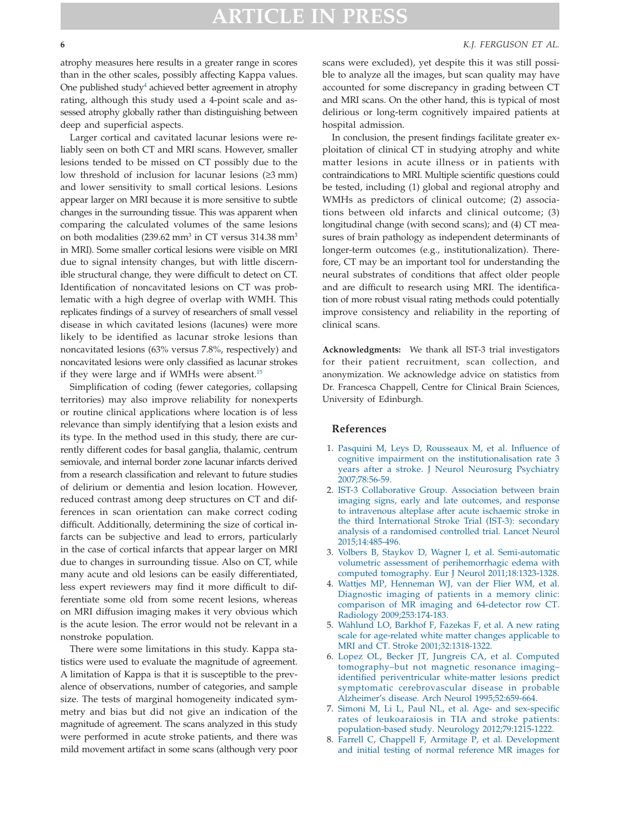#### **6** *K.J. FERGUSON ET AL.*

atrophy measures here results in a greater range in scores than in the other scales, possibly affecting Kappa values. One published study<sup>4</sup> achieved better agreement in atrophy rating, although this study used a 4-point scale and assessed atrophy globally rather than distinguishing between deep and superficial aspects.

Larger cortical and cavitated lacunar lesions were reliably seen on both CT and MRI scans. However, smaller lesions tended to be missed on CT possibly due to the low threshold of inclusion for lacunar lesions (≥3 mm) and lower sensitivity to small cortical lesions. Lesions appear larger on MRI because it is more sensitive to subtle changes in the surrounding tissue. This was apparent when comparing the calculated volumes of the same lesions on both modalities  $(239.62 \text{ mm}^3 \text{ in CT} \text{ versus } 314.38 \text{ mm}^3$ in MRI). Some smaller cortical lesions were visible on MRI due to signal intensity changes, but with little discernible structural change, they were difficult to detect on CT. Identification of noncavitated lesions on CT was problematic with a high degree of overlap with WMH. This replicates findings of a survey of researchers of small vessel disease in which cavitated lesions (lacunes) were more likely to be identified as lacunar stroke lesions than noncavitated lesions (63% versus 7.8%, respectively) and noncavitated lesions were only classified as lacunar strokes if they were large and if WMHs were absent.<sup>15</sup>

Simplification of coding (fewer categories, collapsing territories) may also improve reliability for nonexperts or routine clinical applications where location is of less relevance than simply identifying that a lesion exists and its type. In the method used in this study, there are currently different codes for basal ganglia, thalamic, centrum semiovale, and internal border zone lacunar infarcts derived from a research classification and relevant to future studies of delirium or dementia and lesion location. However, reduced contrast among deep structures on CT and differences in scan orientation can make correct coding difficult. Additionally, determining the size of cortical infarcts can be subjective and lead to errors, particularly in the case of cortical infarcts that appear larger on MRI due to changes in surrounding tissue. Also on CT, while many acute and old lesions can be easily differentiated, less expert reviewers may find it more difficult to differentiate some old from some recent lesions, whereas on MRI diffusion imaging makes it very obvious which is the acute lesion. The error would not be relevant in a nonstroke population.

There were some limitations in this study. Kappa statistics were used to evaluate the magnitude of agreement. A limitation of Kappa is that it is susceptible to the prevalence of observations, number of categories, and sample size. The tests of marginal homogeneity indicated symmetry and bias but did not give an indication of the magnitude of agreement. The scans analyzed in this study were performed in acute stroke patients, and there was mild movement artifact in some scans (although very poor scans were excluded), yet despite this it was still possible to analyze all the images, but scan quality may have accounted for some discrepancy in grading between CT and MRI scans. On the other hand, this is typical of most delirious or long-term cognitively impaired patients at hospital admission.

In conclusion, the present findings facilitate greater exploitation of clinical CT in studying atrophy and white matter lesions in acute illness or in patients with contraindications to MRI. Multiple scientific questions could be tested, including (1) global and regional atrophy and WMHs as predictors of clinical outcome; (2) associations between old infarcts and clinical outcome; (3) longitudinal change (with second scans); and (4) CT measures of brain pathology as independent determinants of longer-term outcomes (e.g., institutionalization). Therefore, CT may be an important tool for understanding the neural substrates of conditions that affect older people and are difficult to research using MRI. The identification of more robust visual rating methods could potentially improve consistency and reliability in the reporting of clinical scans.

**Acknowledgments:** We thank all IST-3 trial investigators for their patient recruitment, scan collection, and anonymization. We acknowledge advice on statistics from Dr. Francesca Chappell, Centre for Clinical Brain Sciences, University of Edinburgh.

#### **References**

- <span id="page-6-0"></span>1. [Pasquini M, Leys D, Rousseaux M, et al. Influence of](http://refhub.elsevier.com/S1052-3057(18)30079-X/sr0010) [cognitive impairment on the institutionalisation rate 3](http://refhub.elsevier.com/S1052-3057(18)30079-X/sr0010) [years after a stroke. J Neurol Neurosurg Psychiatry](http://refhub.elsevier.com/S1052-3057(18)30079-X/sr0010) [2007;78:56-59.](http://refhub.elsevier.com/S1052-3057(18)30079-X/sr0010)
- <span id="page-6-1"></span>2. [IST-3 Collaborative Group. Association between brain](http://refhub.elsevier.com/S1052-3057(18)30079-X/sr0015) [imaging signs, early and late outcomes, and response](http://refhub.elsevier.com/S1052-3057(18)30079-X/sr0015) [to intravenous alteplase after acute ischaemic stroke in](http://refhub.elsevier.com/S1052-3057(18)30079-X/sr0015) [the third International Stroke Trial \(IST-3\): secondary](http://refhub.elsevier.com/S1052-3057(18)30079-X/sr0015) [analysis of a randomised controlled trial. Lancet Neurol](http://refhub.elsevier.com/S1052-3057(18)30079-X/sr0015) [2015;14:485-496.](http://refhub.elsevier.com/S1052-3057(18)30079-X/sr0015)
- <span id="page-6-2"></span>3. [Volbers B, Staykov D, Wagner I, et al. Semi-automatic](http://refhub.elsevier.com/S1052-3057(18)30079-X/sr0020) [volumetric assessment of perihemorrhagic edema with](http://refhub.elsevier.com/S1052-3057(18)30079-X/sr0020) [computed tomography. Eur J Neurol 2011;18:1323-1328.](http://refhub.elsevier.com/S1052-3057(18)30079-X/sr0020)
- <span id="page-6-3"></span>4. [Wattjes MP, Henneman WJ, van der Flier WM, et al.](http://refhub.elsevier.com/S1052-3057(18)30079-X/sr0025) [Diagnostic imaging of patients in a memory clinic:](http://refhub.elsevier.com/S1052-3057(18)30079-X/sr0025) [comparison of MR imaging and 64-detector row CT.](http://refhub.elsevier.com/S1052-3057(18)30079-X/sr0025) [Radiology 2009;253:174-183.](http://refhub.elsevier.com/S1052-3057(18)30079-X/sr0025)
- <span id="page-6-4"></span>5. [Wahlund LO, Barkhof F, Fazekas F, et al. A new rating](http://refhub.elsevier.com/S1052-3057(18)30079-X/sr0030) [scale for age-related white matter changes applicable to](http://refhub.elsevier.com/S1052-3057(18)30079-X/sr0030) [MRI and CT. Stroke 2001;32:1318-1322.](http://refhub.elsevier.com/S1052-3057(18)30079-X/sr0030)
- <span id="page-6-6"></span>6. [Lopez OL, Becker JT, Jungreis CA, et al. Computed](http://refhub.elsevier.com/S1052-3057(18)30079-X/sr0035) [tomography–but not magnetic resonance imaging–](http://refhub.elsevier.com/S1052-3057(18)30079-X/sr0035) [identified periventricular white-matter lesions predict](http://refhub.elsevier.com/S1052-3057(18)30079-X/sr0035) [symptomatic cerebrovascular disease in probable](http://refhub.elsevier.com/S1052-3057(18)30079-X/sr0035) [Alzheimer's disease. Arch Neurol 1995;52:659-664.](http://refhub.elsevier.com/S1052-3057(18)30079-X/sr0035)
- 7. [Simoni M, Li L, Paul NL, et al. Age- and sex-specific](http://refhub.elsevier.com/S1052-3057(18)30079-X/sr0040) [rates of leukoaraiosis in TIA and stroke patients:](http://refhub.elsevier.com/S1052-3057(18)30079-X/sr0040) [population-based study. Neurology 2012;79:1215-1222.](http://refhub.elsevier.com/S1052-3057(18)30079-X/sr0040)
- <span id="page-6-5"></span>8. [Farrell C, Chappell F, Armitage P, et al. Development](http://refhub.elsevier.com/S1052-3057(18)30079-X/sr0045) [and initial testing of normal reference MR images for](http://refhub.elsevier.com/S1052-3057(18)30079-X/sr0045)